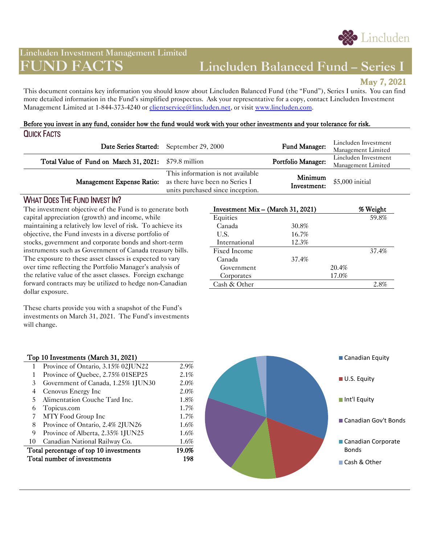

# **Lincluden Investment Management Limited**

# **FUND FACTS Lincluden Balanced Fund – Series I**

**May 7, 2021** 

This document contains key information you should know about Lincluden Balanced Fund (the "Fund"), Series I units. You can find more detailed information in the Fund's simplified prospectus. Ask your representative for a copy, contact Lincluden Investment Management Limited at 1-844-373-4240 or [clientservice@lincluden.net,](mailto:mutualfunds@lincluden.net) or visit [www.lincluden.com.](http://www.lincluden.com/)

#### Before you invest in any fund, consider how the fund would work with your other investments and your tolerance for risk. QUICK FACTS

|                                                       | Date Series Started: September 29, 2000                                                                                           | Fund Manager:          | Lincluden Investment<br>Management Limited |
|-------------------------------------------------------|-----------------------------------------------------------------------------------------------------------------------------------|------------------------|--------------------------------------------|
| Total Value of Fund on March 31, 2021: \$79.8 million |                                                                                                                                   | Portfolio Manager:     | Lincluden Investment<br>Management Limited |
|                                                       | This information is not available<br>Management Expense Ratio: as there have been no Series I<br>units purchased since inception. | Minimum<br>Investment: | \$5,000 initial                            |

# WHAT DOES THE FUND INVEST IN?

The investment objective of the Fund is to generate both capital appreciation (growth) and income, while maintaining a relatively low level of risk. To achieve its objective, the Fund invests in a diverse portfolio of stocks, government and corporate bonds and short-term instruments such as Government of Canada treasury bills. The exposure to these asset classes is expected to vary over time reflecting the Portfolio Manager's analysis of the relative value of the asset classes. Foreign exchange forward contracts may be utilized to hedge non-Canadian dollar exposure.

These charts provide you with a snapshot of the Fund's investments on March 31, 2021. The Fund's investments will change.

| Investment Mix - (March 31, 2021) |       |       | % Weight |
|-----------------------------------|-------|-------|----------|
| Equities                          |       |       | 59.8%    |
| Canada                            | 30.8% |       |          |
| U.S.                              | 16.7% |       |          |
| International                     | 12.3% |       |          |
| Fixed Income                      |       |       | 37.4%    |
| Canada                            | 37.4% |       |          |
| Government                        |       | 20.4% |          |
| Corporates                        |       | 17.0% |          |
| Cash $&$ Other                    |       |       | 2.8%     |
|                                   |       |       |          |

#### Top 10 Investments (March 31, 2021)

| 1                                      | Province of Ontario, 3.15% 02JUN22 | 2.9%  |
|----------------------------------------|------------------------------------|-------|
| 1                                      | Province of Quebec, 2.75% 01SEP25  | 2.1%  |
| 3                                      | Government of Canada, 1.25% 1JUN30 | 2.0%  |
| 4                                      | Cenovus Energy Inc                 | 2.0%  |
| 5.                                     | Alimentation Couche Tard Inc.      | 1.8%  |
| 6                                      | Topicus.com                        | 1.7%  |
| 7                                      | MTY Food Group Inc                 | 1.7%  |
| 8                                      | Province of Ontario, 2.4% 2JUN26   | 1.6%  |
| 9                                      | Province of Alberta, 2.35% 1JUN25  | 1.6%  |
| 10                                     | Canadian National Railway Co.      | 1.6%  |
| Total percentage of top 10 investments |                                    | 19.0% |
| Total number of investments<br>198     |                                    |       |
|                                        |                                    |       |

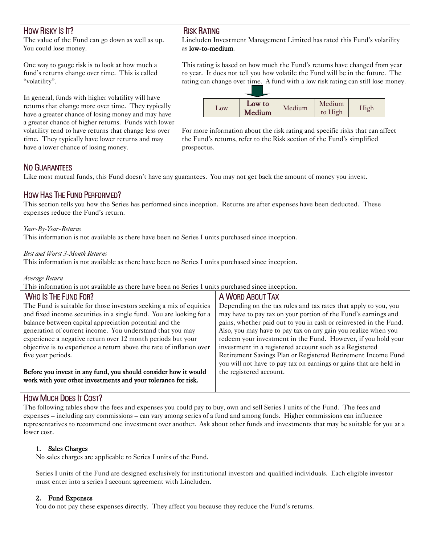# HOW RISKY IS IT?

The value of the Fund can go down as well as up. You could lose money.

One way to gauge risk is to look at how much a fund's returns change over time. This is called "volatility".

In general, funds with higher volatility will have returns that change more over time. They typically have a greater chance of losing money and may have a greater chance of higher returns. Funds with lower volatility tend to have returns that change less over time. They typically have lower returns and may have a lower chance of losing money.

# RISK RATING

Lincluden Investment Management Limited has rated this Fund's volatility as low-to-medium.

This rating is based on how much the Fund's returns have changed from year to year. It does not tell you how volatile the Fund will be in the future. The rating can change over time. A fund with a low risk rating can still lose money.



For more information about the risk rating and specific risks that can affect the Fund's returns, refer to the Risk section of the Fund's simplified prospectus.

# NO GUARANTEES

Like most mutual funds, this Fund doesn't have any guarantees. You may not get back the amount of money you invest.

### HOW HAS THE FUND PERFORMED?

This section tells you how the Series has performed since inception. Returns are after expenses have been deducted. These expenses reduce the Fund's return.

#### *Year-By-Year-Returns*

This information is not available as there have been no Series I units purchased since inception.

#### *Best and Worst 3-Month Returns*

This information is not available as there have been no Series I units purchased since inception.

#### *Average Return*

This information is not available as there have been no Series I units purchased since inception.

| <b>WHO IS THE FUND FOR?</b>                                          | A WORD ABOUT TAX                                                   |
|----------------------------------------------------------------------|--------------------------------------------------------------------|
| The Fund is suitable for those investors seeking a mix of equities   | Depending on the tax rules and tax rates that apply to you, you    |
| and fixed income securities in a single fund. You are looking for a  | may have to pay tax on your portion of the Fund's earnings and     |
| balance between capital appreciation potential and the               | gains, whether paid out to you in cash or reinvested in the Fund.  |
| generation of current income. You understand that you may            | Also, you may have to pay tax on any gain you realize when you     |
| experience a negative return over 12 month periods but your          | redeem your investment in the Fund. However, if you hold your      |
| objective is to experience a return above the rate of inflation over | investment in a registered account such as a Registered            |
| five year periods.                                                   | Retirement Savings Plan or Registered Retirement Income Fund       |
|                                                                      | you will not have to pay tax on earnings or gains that are held in |
| Before you invest in any fund, you should consider how it would      | the registered account.                                            |
| work with your other investments and your tolerance for risk.        |                                                                    |

# HOW MUCH DOES IT COST?

The following tables show the fees and expenses you could pay to buy, own and sell Series I units of the Fund. The fees and expenses – including any commissions – can vary among series of a fund and among funds. Higher commissions can influence representatives to recommend one investment over another. Ask about other funds and investments that may be suitable for you at a lower cost.

#### 1. Sales Charges

No sales charges are applicable to Series I units of the Fund.

Series I units of the Fund are designed exclusively for institutional investors and qualified individuals. Each eligible investor must enter into a series I account agreement with Lincluden.

#### 2. Fund Expenses

You do not pay these expenses directly. They affect you because they reduce the Fund's returns.